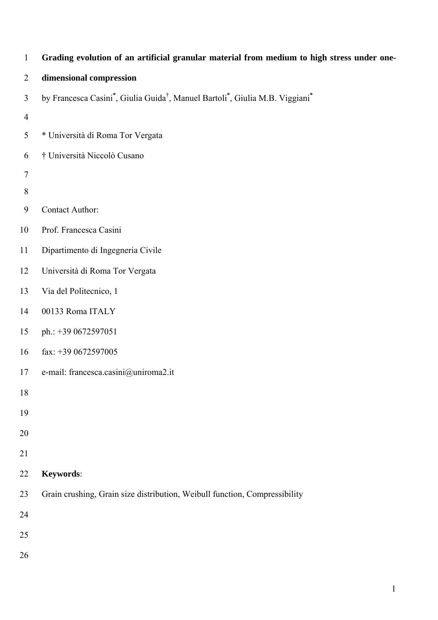| $\mathbf{1}$   | Grading evolution of an artificial granular material from medium to high stress under one- |
|----------------|--------------------------------------------------------------------------------------------|
| $\overline{2}$ | dimensional compression                                                                    |
| 3              | by Francesca Casini*, Giulia Guida <sup>†</sup> , Manuel Bartoli*, Giulia M.B. Viggiani*   |
| $\overline{4}$ |                                                                                            |
| 5              | * Università di Roma Tor Vergata                                                           |
| 6              | † Università Niccolò Cusano                                                                |
| $\overline{7}$ |                                                                                            |
| $8\,$          |                                                                                            |
| 9              | Contact Author:                                                                            |
| 10             | Prof. Francesca Casini                                                                     |
| 11             | Dipartimento di Ingegneria Civile                                                          |
| 12             | Università di Roma Tor Vergata                                                             |
| 13             | Via del Politecnico, 1                                                                     |
| 14             | 00133 Roma ITALY                                                                           |
| 15             | ph.: +39 0672597051                                                                        |
| 16             | fax: $+390672597005$                                                                       |
| 17             | e-mail: francesca.casini@uniroma2.it                                                       |
| 18             |                                                                                            |
| 19             |                                                                                            |
| 20             |                                                                                            |
| 21             |                                                                                            |
| 22             | Keywords:                                                                                  |
| 23             | Grain crushing, Grain size distribution, Weibull function, Compressibility                 |
| 24             |                                                                                            |
| 25             |                                                                                            |
| 26             |                                                                                            |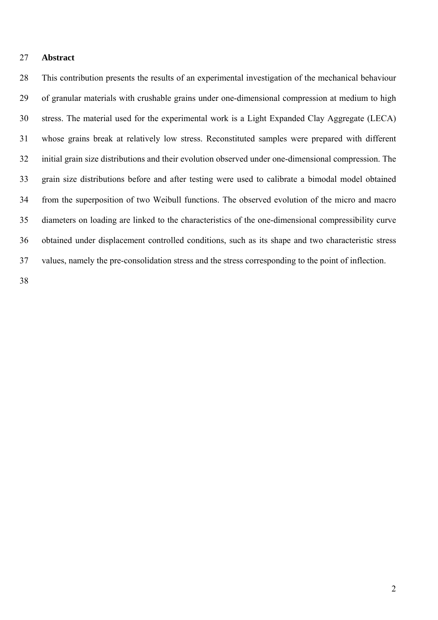#### 27 **Abstract**

28 This contribution presents the results of an experimental investigation of the mechanical behaviour 29 of granular materials with crushable grains under one-dimensional compression at medium to high 30 stress. The material used for the experimental work is a Light Expanded Clay Aggregate (LECA) 31 whose grains break at relatively low stress. Reconstituted samples were prepared with different 32 initial grain size distributions and their evolution observed under one-dimensional compression. The 33 grain size distributions before and after testing were used to calibrate a bimodal model obtained 34 from the superposition of two Weibull functions. The observed evolution of the micro and macro 35 diameters on loading are linked to the characteristics of the one-dimensional compressibility curve 36 obtained under displacement controlled conditions, such as its shape and two characteristic stress 37 values, namely the pre-consolidation stress and the stress corresponding to the point of inflection.

38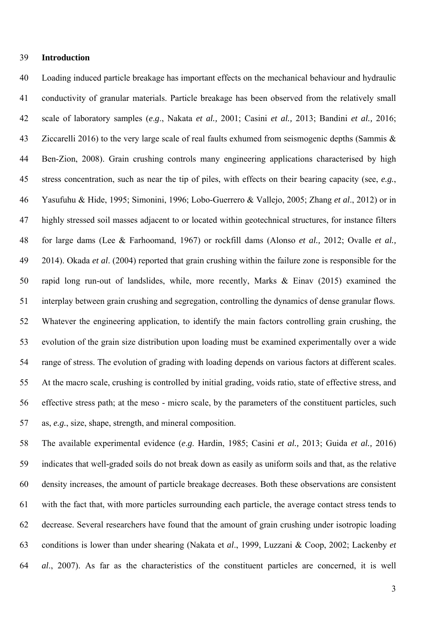#### 39 **Introduction**

40 Loading induced particle breakage has important effects on the mechanical behaviour and hydraulic 41 conductivity of granular materials. Particle breakage has been observed from the relatively small 42 scale of laboratory samples (*e*.*g*., Nakata *et al.,* 2001; Casini *et al.,* 2013; Bandini *et al.,* 2016; 43 Ziccarelli 2016) to the very large scale of real faults exhumed from seismogenic depths (Sammis & 44 Ben-Zion, 2008). Grain crushing controls many engineering applications characterised by high 45 stress concentration, such as near the tip of piles, with effects on their bearing capacity (see, *e.g.*, 46 Yasufuhu & Hide, 1995; Simonini, 1996; Lobo-Guerrero & Vallejo, 2005; Zhang *et al*., 2012) or in 47 highly stressed soil masses adjacent to or located within geotechnical structures, for instance filters 48 for large dams (Lee & Farhoomand, 1967) or rockfill dams (Alonso *et al.,* 2012; Ovalle *et al.,* 49 2014). Okada *et al*. (2004) reported that grain crushing within the failure zone is responsible for the 50 rapid long run-out of landslides, while, more recently, Marks & Einav (2015) examined the 51 interplay between grain crushing and segregation, controlling the dynamics of dense granular flows. 52 Whatever the engineering application, to identify the main factors controlling grain crushing, the 53 evolution of the grain size distribution upon loading must be examined experimentally over a wide 54 range of stress. The evolution of grading with loading depends on various factors at different scales. 55 At the macro scale, crushing is controlled by initial grading, voids ratio, state of effective stress, and 56 effective stress path; at the meso - micro scale, by the parameters of the constituent particles, such 57 as, *e.g.*, size, shape, strength, and mineral composition.

58 The available experimental evidence (*e*.*g*. Hardin, 1985; Casini *et al.,* 2013; Guida *et al.,* 2016) 59 indicates that well-graded soils do not break down as easily as uniform soils and that, as the relative 60 density increases, the amount of particle breakage decreases. Both these observations are consistent 61 with the fact that, with more particles surrounding each particle, the average contact stress tends to 62 decrease. Several researchers have found that the amount of grain crushing under isotropic loading 63 conditions is lower than under shearing (Nakata et *al*., 1999, Luzzani & Coop, 2002; Lackenby *et*  64 *al*., 2007). As far as the characteristics of the constituent particles are concerned, it is well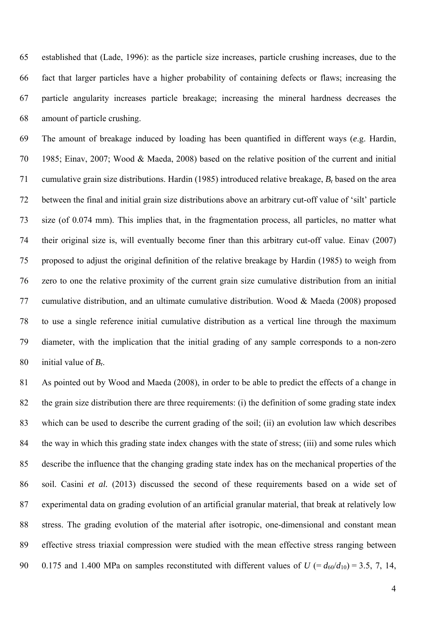65 established that (Lade, 1996): as the particle size increases, particle crushing increases, due to the 66 fact that larger particles have a higher probability of containing defects or flaws; increasing the 67 particle angularity increases particle breakage; increasing the mineral hardness decreases the 68 amount of particle crushing.

69 The amount of breakage induced by loading has been quantified in different ways (*e*.g. Hardin, 70 1985; Einav, 2007; Wood & Maeda, 2008) based on the relative position of the current and initial 71 cumulative grain size distributions. Hardin (1985) introduced relative breakage, *B*r based on the area 72 between the final and initial grain size distributions above an arbitrary cut-off value of 'silt' particle 73 size (of 0.074 mm). This implies that, in the fragmentation process, all particles, no matter what 74 their original size is, will eventually become finer than this arbitrary cut-off value. Einav (2007) 75 proposed to adjust the original definition of the relative breakage by Hardin (1985) to weigh from 76 zero to one the relative proximity of the current grain size cumulative distribution from an initial 77 cumulative distribution, and an ultimate cumulative distribution. Wood & Maeda (2008) proposed 78 to use a single reference initial cumulative distribution as a vertical line through the maximum 79 diameter, with the implication that the initial grading of any sample corresponds to a non-zero 80 initial value of  $B_r$ .

81 As pointed out by Wood and Maeda (2008), in order to be able to predict the effects of a change in 82 the grain size distribution there are three requirements: (i) the definition of some grading state index 83 which can be used to describe the current grading of the soil; (ii) an evolution law which describes 84 the way in which this grading state index changes with the state of stress; (iii) and some rules which 85 describe the influence that the changing grading state index has on the mechanical properties of the 86 soil. Casini *et al.* (2013) discussed the second of these requirements based on a wide set of 87 experimental data on grading evolution of an artificial granular material, that break at relatively low 88 stress. The grading evolution of the material after isotropic, one-dimensional and constant mean 89 effective stress triaxial compression were studied with the mean effective stress ranging between 90 0.175 and 1.400 MPa on samples reconstituted with different values of  $U = d_{60}/d_{10} = 3.5, 7, 14,$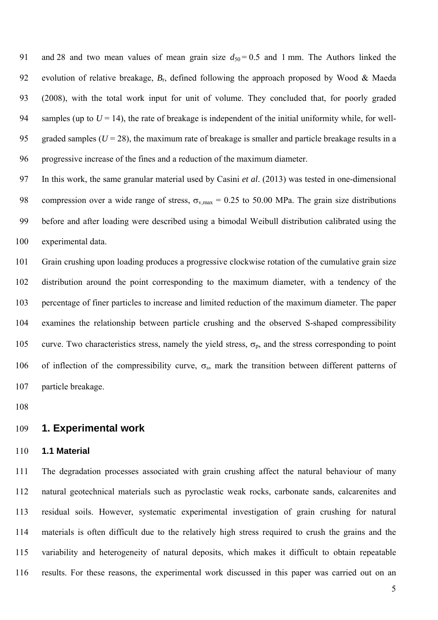91 and 28 and two mean values of mean grain size  $d_{50} = 0.5$  and 1 mm. The Authors linked the 92 evolution of relative breakage, *B*r, defined following the approach proposed by Wood & Maeda 93 (2008), with the total work input for unit of volume. They concluded that, for poorly graded 94 samples (up to  $U = 14$ ), the rate of breakage is independent of the initial uniformity while, for well-95 graded samples  $(U = 28)$ , the maximum rate of breakage is smaller and particle breakage results in a 96 progressive increase of the fines and a reduction of the maximum diameter.

97 In this work, the same granular material used by Casini *et al*. (2013) was tested in one-dimensional 98 compression over a wide range of stress,  $\sigma_{v,max} = 0.25$  to 50.00 MPa. The grain size distributions 99 before and after loading were described using a bimodal Weibull distribution calibrated using the 100 experimental data.

101 Grain crushing upon loading produces a progressive clockwise rotation of the cumulative grain size 102 distribution around the point corresponding to the maximum diameter, with a tendency of the 103 percentage of finer particles to increase and limited reduction of the maximum diameter. The paper 104 examines the relationship between particle crushing and the observed S-shaped compressibility 105 curve. Two characteristics stress, namely the yield stress,  $\sigma_p$ , and the stress corresponding to point 106 of inflection of the compressibility curve,  $\sigma_s$ , mark the transition between different patterns of 107 particle breakage.

108

## 109 **1. Experimental work**

#### 110 **1.1 Material**

111 The degradation processes associated with grain crushing affect the natural behaviour of many 112 natural geotechnical materials such as pyroclastic weak rocks, carbonate sands, calcarenites and 113 residual soils. However, systematic experimental investigation of grain crushing for natural 114 materials is often difficult due to the relatively high stress required to crush the grains and the 115 variability and heterogeneity of natural deposits, which makes it difficult to obtain repeatable 116 results. For these reasons, the experimental work discussed in this paper was carried out on an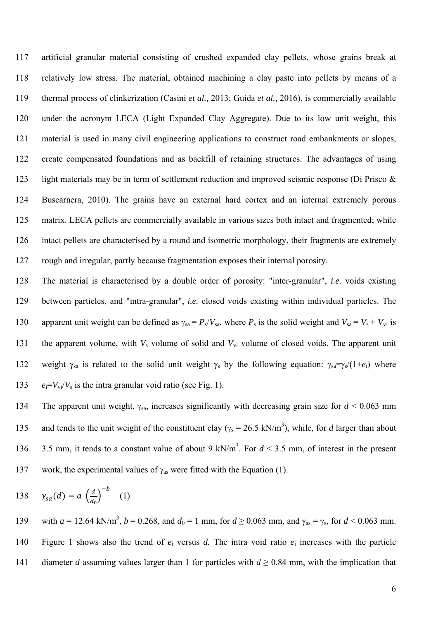117 artificial granular material consisting of crushed expanded clay pellets, whose grains break at 118 relatively low stress. The material, obtained machining a clay paste into pellets by means of a 119 thermal process of clinkerization (Casini *et al.,* 2013; Guida *et al.,* 2016), is commercially available 120 under the acronym LECA (Light Expanded Clay Aggregate). Due to its low unit weight, this 121 material is used in many civil engineering applications to construct road embankments or slopes, 122 create compensated foundations and as backfill of retaining structures. The advantages of using 123 light materials may be in term of settlement reduction and improved seismic response (Di Prisco & 124 Buscarnera, 2010). The grains have an external hard cortex and an internal extremely porous 125 matrix. LECA pellets are commercially available in various sizes both intact and fragmented; while 126 intact pellets are characterised by a round and isometric morphology, their fragments are extremely 127 rough and irregular, partly because fragmentation exposes their internal porosity.

128 The material is characterised by a double order of porosity: "inter-granular", *i.e.* voids existing 129 between particles, and "intra-granular", *i.e.* closed voids existing within individual particles. The 130 apparent unit weight can be defined as  $\gamma_{sa} = P_s/V_{sa}$ , where  $P_s$  is the solid weight and  $V_{sa} = V_s + V_{vi}$  is 131 the apparent volume, with  $V_s$  volume of solid and  $V_{vi}$  volume of closed voids. The apparent unit 132 weight  $\gamma_{sa}$  is related to the solid unit weight  $\gamma_s$  by the following equation:  $\gamma_{sa}=\gamma_s/(1+e_i)$  where 133  $e_i = V_{vi}/V_s$  is the intra granular void ratio (see Fig. 1).

134 The apparent unit weight,  $\gamma_{sa}$ , increases significantly with decreasing grain size for  $d \le 0.063$  mm 135 and tends to the unit weight of the constituent clay ( $\gamma_s = 26.5 \text{ kN/m}^3$ ), while, for *d* larger than about 136 3.5 mm, it tends to a constant value of about 9 kN/m<sup>3</sup>. For  $d \le 3.5$  mm, of interest in the present 137 work, the experimental values of  $\gamma_{\text{as}}$  were fitted with the Equation (1).

138 
$$
\gamma_{sa}(d) = a \left(\frac{d}{d_0}\right)^{-b}
$$
 (1)

139 with  $a = 12.64 \text{ kN/m}^3$ ,  $b = 0.268$ , and  $d_0 = 1 \text{ mm}$ , for  $d \ge 0.063 \text{ mm}$ , and  $\gamma_{\text{as}} = \gamma_{\text{s}}$ , for  $d \le 0.063 \text{ mm}$ . 140 Figure 1 shows also the trend of *e*i versus *d.* The intra void ratio *e*i increases with the particle 141 diameter *d* assuming values larger than 1 for particles with  $d \ge 0.84$  mm, with the implication that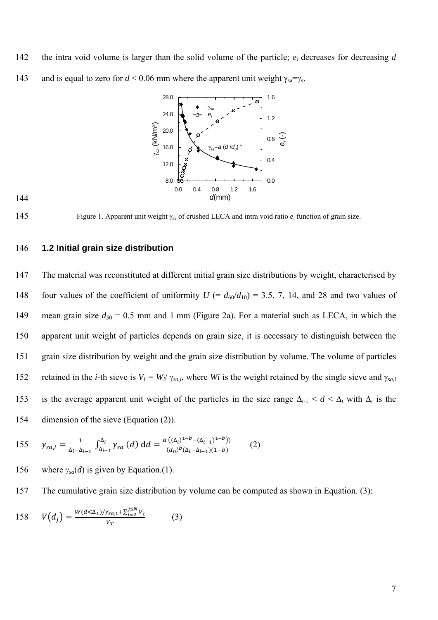142 the intra void volume is larger than the solid volume of the particle;  $e_i$  decreases for decreasing *d* 143 and is equal to zero for  $d < 0.06$  mm where the apparent unit weight  $\gamma_{sa} = \gamma_s$ .





145 Figure 1. Apparent unit weight  $\gamma_{sa}$  of crushed LECA and intra void ratio  $e_i$  function of grain size.

## 146 **1.2 Initial grain size distribution**

147 The material was reconstituted at different initial grain size distributions by weight, characterised by 148 four values of the coefficient of uniformity  $U = d_{60}/d_{10} = 3.5, 7, 14,$  and 28 and two values of 149 mean grain size  $d_{50} = 0.5$  mm and 1 mm (Figure 2a). For a material such as LECA, in which the 150 apparent unit weight of particles depends on grain size, it is necessary to distinguish between the 151 grain size distribution by weight and the grain size distribution by volume. The volume of particles 152 retained in the *i*-th sieve is  $V_i = W_i/\gamma_{sa,i}$ , where *Wi* is the weight retained by the single sieve and  $\gamma_{sa,i}$ 153 is the average apparent unit weight of the particles in the size range  $\Delta_{i-1} < d < \Delta_i$  with  $\Delta_i$  is the 154 dimension of the sieve (Equation (2)).

155 
$$
\gamma_{sa,i} = \frac{1}{\Delta_i - \Delta_{i-1}} \int_{\Delta_{i-1}}^{\Delta_i} \gamma_{sa} (d) dd = \frac{a ((\Delta_i)^{1-b} - (\Delta_{i-1})^{1-b}))}{(d_0)^b (\Delta_i - \Delta_{i-1})(1-b)}
$$
(2)

- 156 where  $\gamma_{sa}(d)$  is given by Equation.(1).
- 157 The cumulative grain size distribution by volume can be computed as shown in Equation. (3):

158 
$$
V(d_j) = \frac{W(d < \Delta_1) / \gamma_{sa,1} + \sum_{i=2}^{j \le N} V_i}{V_T}
$$
 (3)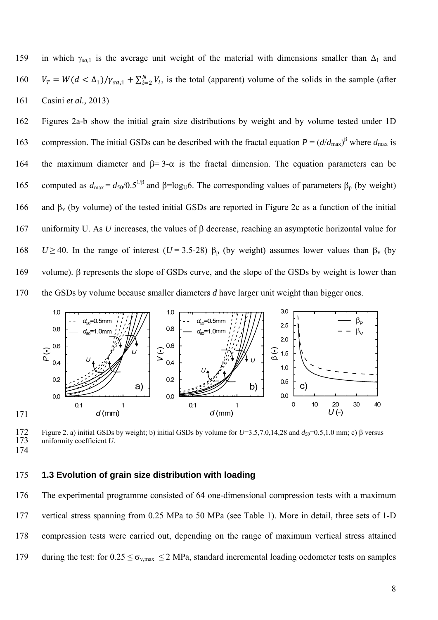159 in which  $\gamma_{sa,1}$  is the average unit weight of the material with dimensions smaller than  $\Delta_1$  and  $160$   $V_T = W(d < \Delta_1)/\gamma_{sa,1} + \sum_{i=2}^{N} V_i$ , is the total (apparent) volume of the solids in the sample (after 161 Casini *et al.,* 2013)

162 Figures 2a-b show the initial grain size distributions by weight and by volume tested under 1D 163 compression. The initial GSDs can be described with the fractal equation  $P = (d/d_{\text{max}})^{\beta}$  where  $d_{\text{max}}$  is 164 the maximum diameter and  $\beta = 3-\alpha$  is the fractal dimension. The equation parameters can be 165 computed as  $d_{\text{max}} = d_{50}/0.5^{1/\beta}$  and  $\beta = \log_{U}6$ . The corresponding values of parameters  $\beta_p$  (by weight) 166 and  $\beta_v$  (by volume) of the tested initial GSDs are reported in Figure 2c as a function of the initial 167 uniformity U. As *U* increases, the values of  $\beta$  decrease, reaching an asymptotic horizontal value for 168 *U* ≥ 40. In the range of interest (*U* = 3.5-28)  $\beta_p$  (by weight) assumes lower values than  $\beta_v$  (by 169 volume). B represents the slope of GSDs curve, and the slope of the GSDs by weight is lower than 170 the GSDs by volume because smaller diameters *d* have larger unit weight than bigger ones.



172 Figure 2. a) initial GSDs by weight; b) initial GSDs by volume for  $U=3.5,7.0,14,28$  and  $d_{50}=0.5,1.0$  mm; c) β versus uniformity coefficient *U*. uniformity coefficient *U*.

174

#### 175 **1.3 Evolution of grain size distribution with loading**

176 The experimental programme consisted of 64 one-dimensional compression tests with a maximum 177 vertical stress spanning from 0.25 MPa to 50 MPa (see Table 1). More in detail, three sets of 1-D 178 compression tests were carried out, depending on the range of maximum vertical stress attained 179 during the test: for  $0.25 \le \sigma_{v,max} \le 2$  MPa, standard incremental loading oedometer tests on samples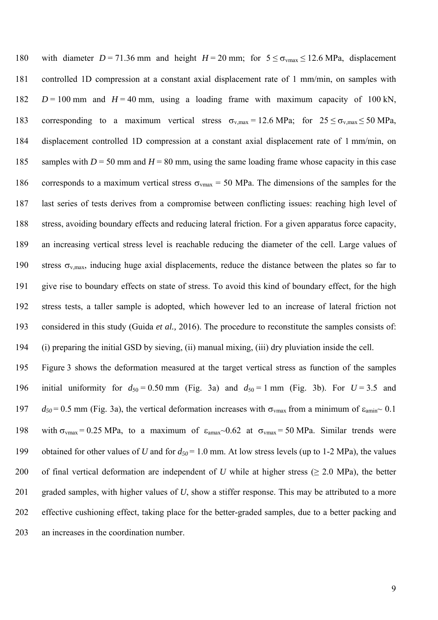180 with diameter  $D = 71.36$  mm and height  $H = 20$  mm; for  $5 \le \sigma_{vmax} \le 12.6$  MPa, displacement 181 controlled 1D compression at a constant axial displacement rate of 1 mm/min, on samples with 182  $D = 100$  mm and  $H = 40$  mm, using a loading frame with maximum capacity of 100 kN, 183 corresponding to a maximum vertical stress  $\sigma_{v,max} = 12.6 \text{ MPa}$ ; for  $25 \le \sigma_{v,max} \le 50 \text{ MPa}$ , 184 displacement controlled 1D compression at a constant axial displacement rate of 1 mm/min, on 185 samples with *D* = 50 mm and *H* = 80 mm, using the same loading frame whose capacity in this case 186 corresponds to a maximum vertical stress  $\sigma_{\text{vmax}} = 50$  MPa. The dimensions of the samples for the 187 last series of tests derives from a compromise between conflicting issues: reaching high level of 188 stress, avoiding boundary effects and reducing lateral friction. For a given apparatus force capacity, 189 an increasing vertical stress level is reachable reducing the diameter of the cell. Large values of 190 stress  $\sigma_{v,max}$ , inducing huge axial displacements, reduce the distance between the plates so far to 191 give rise to boundary effects on state of stress. To avoid this kind of boundary effect, for the high 192 stress tests, a taller sample is adopted, which however led to an increase of lateral friction not 193 considered in this study (Guida *et al.,* 2016). The procedure to reconstitute the samples consists of: 194 (i) preparing the initial GSD by sieving, (ii) manual mixing, (iii) dry pluviation inside the cell.

195 Figure 3 shows the deformation measured at the target vertical stress as function of the samples 196 initial uniformity for  $d_{50} = 0.50$  mm (Fig. 3a) and  $d_{50} = 1$  mm (Fig. 3b). For  $U = 3.5$  and 197  $d_{50} = 0.5$  mm (Fig. 3a), the vertical deformation increases with  $\sigma_{\text{vmax}}$  from a minimum of  $\varepsilon_{\text{amin}}$  0.1 198 with  $\sigma_{\text{vmax}} = 0.25 \text{ MPa}$ , to a maximum of  $\varepsilon_{\text{amax}}$  -0.62 at  $\sigma_{\text{vmax}} = 50 \text{ MPa}$ . Similar trends were 199 obtained for other values of *U* and for  $d_{50} = 1.0$  mm. At low stress levels (up to 1-2 MPa), the values 200 of final vertical deformation are independent of *U* while at higher stress (> 2.0 MPa), the better 201 graded samples, with higher values of *U*, show a stiffer response. This may be attributed to a more 202 effective cushioning effect, taking place for the better-graded samples, due to a better packing and 203 an increases in the coordination number.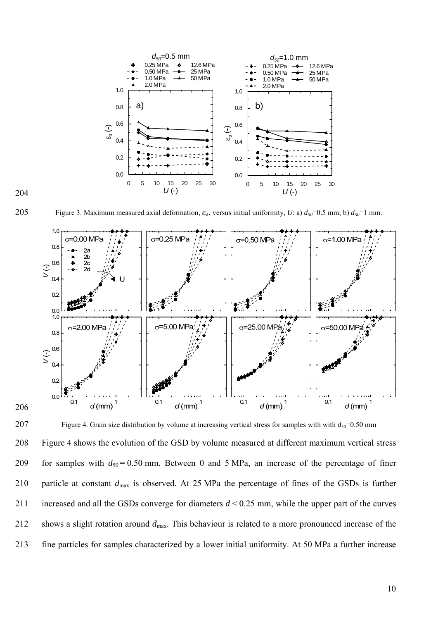

204

205 Figure 3. Maximum measured axial deformation,  $\varepsilon_a$ , versus initial uniformity, *U*: a)  $d_{50}$ =0.5 mm; b)  $d_{50}$ =1 mm.



207 Figure 4. Grain size distribution by volume at increasing vertical stress for samples with with  $d_{50}=0.50$  mm 208 Figure 4 shows the evolution of the GSD by volume measured at different maximum vertical stress 209 for samples with  $d_{50} = 0.50$  mm. Between 0 and 5 MPa, an increase of the percentage of finer 210 particle at constant *d*max is observed. At 25 MPa the percentage of fines of the GSDs is further 211 increased and all the GSDs converge for diameters *d* < 0.25 mm, while the upper part of the curves 212 shows a slight rotation around *d*max. This behaviour is related to a more pronounced increase of the 213 fine particles for samples characterized by a lower initial uniformity. At 50 MPa a further increase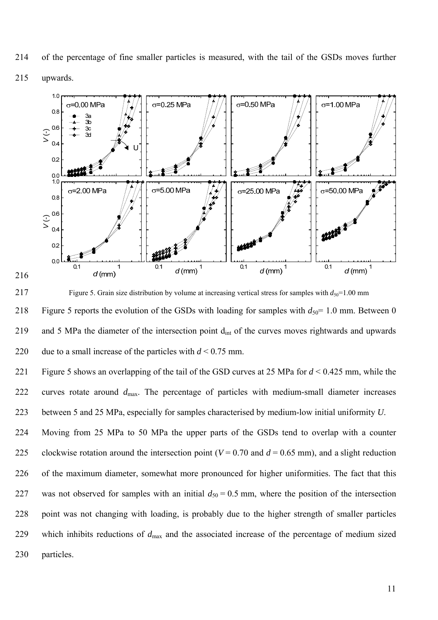214 of the percentage of fine smaller particles is measured, with the tail of the GSDs moves further



216



217 Figure 5. Grain size distribution by volume at increasing vertical stress for samples with  $d_{50}=1.00$  mm 218 Figure 5 reports the evolution of the GSDs with loading for samples with  $d_{50}$ = 1.0 mm. Between 0 219 and 5 MPa the diameter of the intersection point d<sub>int</sub> of the curves moves rightwards and upwards 220 due to a small increase of the particles with *d* < 0.75 mm.

221 Figure 5 shows an overlapping of the tail of the GSD curves at 25 MPa for *d* < 0.425 mm, while the 222 curves rotate around *d*max. The percentage of particles with medium-small diameter increases 223 between 5 and 25 MPa, especially for samples characterised by medium-low initial uniformity *U*.

224 Moving from 25 MPa to 50 MPa the upper parts of the GSDs tend to overlap with a counter 225 clockwise rotation around the intersection point ( $V = 0.70$  and  $d = 0.65$  mm), and a slight reduction 226 of the maximum diameter, somewhat more pronounced for higher uniformities. The fact that this 227 was not observed for samples with an initial  $d_{50} = 0.5$  mm, where the position of the intersection 228 point was not changing with loading, is probably due to the higher strength of smaller particles 229 which inhibits reductions of *d*max and the associated increase of the percentage of medium sized 230 particles.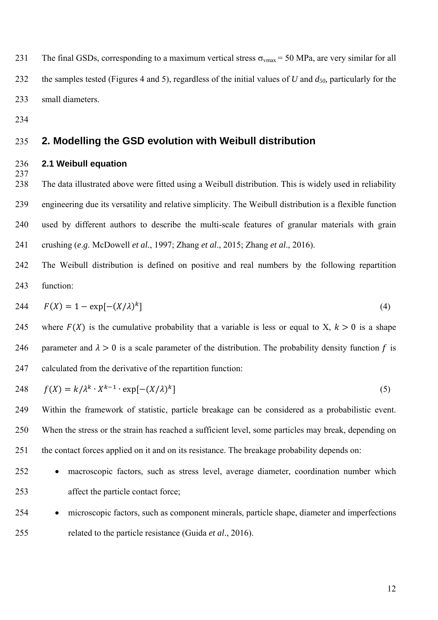231 The final GSDs, corresponding to a maximum vertical stress  $\sigma_{vmax}$  = 50 MPa, are very similar for all 232 the samples tested (Figures 4 and 5), regardless of the initial values of *U* and  $d_{50}$ , particularly for the 233 small diameters.

234

237

## 235 **2. Modelling the GSD evolution with Weibull distribution**

#### 236 **2.1 Weibull equation**

238 The data illustrated above were fitted using a Weibull distribution. This is widely used in reliability 239 engineering due its versatility and relative simplicity. The Weibull distribution is a flexible function 240 used by different authors to describe the multi-scale features of granular materials with grain 241 crushing (*e*.*g*. McDowell *et al.*, 1997; Zhang *et al*., 2015; Zhang *et al*., 2016).

242 The Weibull distribution is defined on positive and real numbers by the following repartition 243 function:

244 
$$
F(X) = 1 - \exp[-(X/\lambda)^k]
$$
 (4)

245 where  $F(X)$  is the cumulative probability that a variable is less or equal to X,  $k > 0$  is a shape 246 parameter and  $\lambda > 0$  is a scale parameter of the distribution. The probability density function f is 247 calculated from the derivative of the repartition function:

$$
248 \t f(X) = k/\lambda^k \cdot X^{k-1} \cdot \exp[-(X/\lambda)^k]
$$
\n(5)

249 Within the framework of statistic, particle breakage can be considered as a probabilistic event. 250 When the stress or the strain has reached a sufficient level, some particles may break, depending on 251 the contact forces applied on it and on its resistance. The breakage probability depends on:

- 252 macroscopic factors, such as stress level, average diameter, coordination number which 253 affect the particle contact force;
- 254 microscopic factors, such as component minerals, particle shape, diameter and imperfections 255 related to the particle resistance (Guida *et al*., 2016).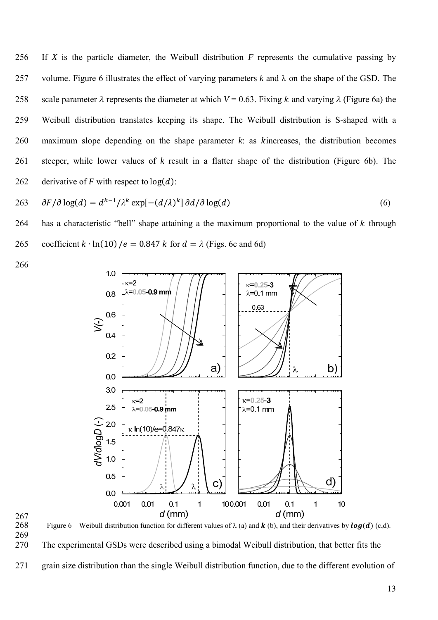256 If *X* is the particle diameter, the Weibull distribution *F* represents the cumulative passing by 257 volume. Figure 6 illustrates the effect of varying parameters  $k$  and  $\lambda$  on the shape of the GSD. The 258 scale parameter  $\lambda$  represents the diameter at which  $V = 0.63$ . Fixing k and varying  $\lambda$  (Figure 6a) the 259 Weibull distribution translates keeping its shape. The Weibull distribution is S-shaped with a 260 maximum slope depending on the shape parameter  $k$ : as  $k$  increases, the distribution becomes 261 steeper, while lower values of *k* result in a flatter shape of the distribution (Figure 6b). The 262 derivative of *F* with respect to  $log(d)$ :

$$
263 \t\partial F/\partial \log(d) = d^{k-1}/\lambda^k \exp[-(d/\lambda)^k] \partial d/\partial \log(d)
$$
\n(6)

264 has a characteristic "bell" shape attaining a the maximum proportional to the value of  $k$  through 265 coefficient  $k \cdot \ln(10)/e = 0.847 k$  for  $d = \lambda$  (Figs. 6c and 6d)

266



 $\frac{267}{268}$ 

Figure 6 – Weibull distribution function for different values of  $\lambda$  (a) and **k** (b), and their derivatives by **log(d)** (c,d). 269



271 grain size distribution than the single Weibull distribution function, due to the different evolution of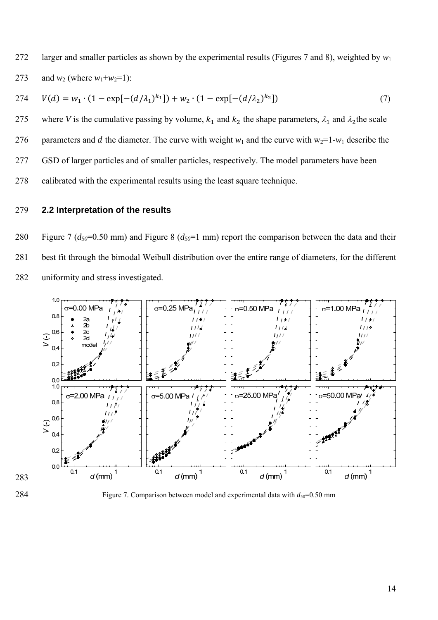272 larger and smaller particles as shown by the experimental results (Figures 7 and 8), weighted by  $w_1$ 273 and  $w_2$  (where  $w_1 + w_2 = 1$ ):

274 
$$
V(d) = w_1 \cdot (1 - \exp[-(d/\lambda_1)^{k_1}]) + w_2 \cdot (1 - \exp[-(d/\lambda_2)^{k_2}])
$$
 (7)

275 where *V* is the cumulative passing by volume,  $k_1$  and  $k_2$  the shape parameters,  $\lambda_1$  and  $\lambda_2$ the scale 276 parameters and d the diameter. The curve with weight  $w_1$  and the curve with  $w_2=1-w_1$  describe the 277 GSD of larger particles and of smaller particles, respectively. The model parameters have been 278 calibrated with the experimental results using the least square technique.

## 279 **2.2 Interpretation of the results**

280 Figure 7 (*d50*=0.50 mm) and Figure 8 (*d50*=1 mm) report the comparison between the data and their 281 best fit through the bimodal Weibull distribution over the entire range of diameters, for the different 282 uniformity and stress investigated.





284 Figure 7. Comparison between model and experimental data with  $d_{50}=0.50$  mm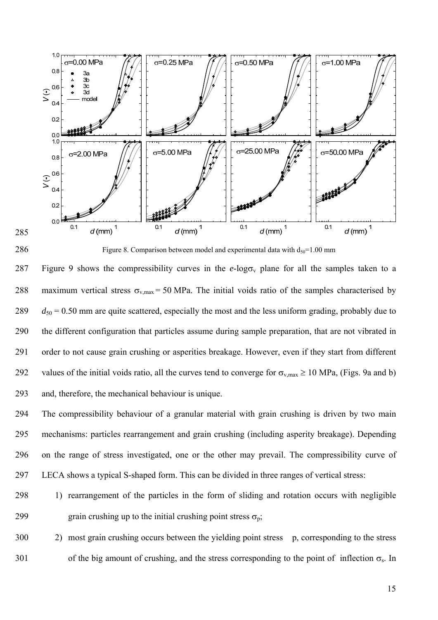



286 Figure 8. Comparison between model and experimental data with  $d_{50}=1.00$  mm

287 Figure 9 shows the compressibility curves in the  $e$ -logo<sub>v</sub> plane for all the samples taken to a 288 maximum vertical stress  $\sigma_{v,max} = 50 \text{ MPa}$ . The initial voids ratio of the samples characterised by  $289$   $d_{50} = 0.50$  mm are quite scattered, especially the most and the less uniform grading, probably due to 290 the different configuration that particles assume during sample preparation, that are not vibrated in 291 order to not cause grain crushing or asperities breakage. However, even if they start from different 292 values of the initial voids ratio, all the curves tend to converge for  $\sigma_{v,max} \ge 10$  MPa, (Figs. 9a and b) 293 and, therefore, the mechanical behaviour is unique.

294 The compressibility behaviour of a granular material with grain crushing is driven by two main 295 mechanisms: particles rearrangement and grain crushing (including asperity breakage). Depending 296 on the range of stress investigated, one or the other may prevail. The compressibility curve of 297 LECA shows a typical S-shaped form. This can be divided in three ranges of vertical stress:

# 298 1) rearrangement of the particles in the form of sliding and rotation occurs with negligible 299 grain crushing up to the initial crushing point stress  $\sigma_p$ ;

300 2) most grain crushing occurs between the yielding point stress p, corresponding to the stress 301 of the big amount of crushing, and the stress corresponding to the point of inflection  $\sigma_s$ . In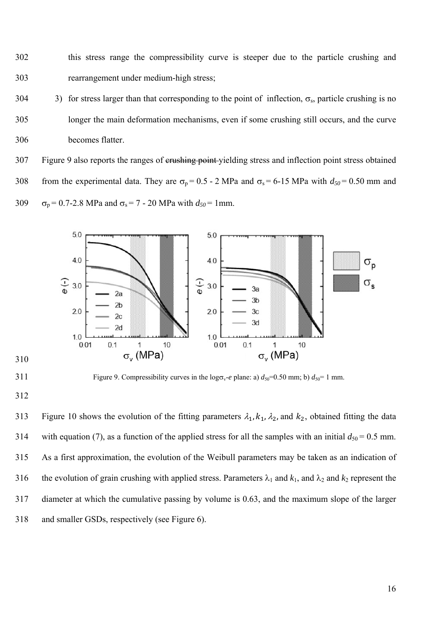302 this stress range the compressibility curve is steeper due to the particle crushing and 303 rearrangement under medium-high stress;

304 3) for stress larger than that corresponding to the point of inflection,  $\sigma_s$ , particle crushing is no 305 longer the main deformation mechanisms, even if some crushing still occurs, and the curve 306 becomes flatter.

307 Figure 9 also reports the ranges of crushing point yielding stress and inflection point stress obtained 308 from the experimental data. They are  $\sigma_p = 0.5 - 2$  MPa and  $\sigma_s = 6-15$  MPa with  $d_{50} = 0.50$  mm and 309  $\sigma_p = 0.7$ -2.8 MPa and  $\sigma_s = 7$  - 20 MPa with  $d_{50} = 1$ mm.



310

311 Figure 9. Compressibility curves in the  $\log \sigma_v$ -*e* plane: a)  $d_{50}$ =0.50 mm; b)  $d_{50}$ =1 mm.

312

313 Figure 10 shows the evolution of the fitting parameters  $\lambda_1$ ,  $k_1$ ,  $\lambda_2$ , and  $k_2$ , obtained fitting the data 314 with equation (7), as a function of the applied stress for all the samples with an initial  $d_{50} = 0.5$  mm. 315 As a first approximation, the evolution of the Weibull parameters may be taken as an indication of 316 the evolution of grain crushing with applied stress. Parameters  $\lambda_1$  and  $k_1$ , and  $\lambda_2$  and  $k_2$  represent the 317 diameter at which the cumulative passing by volume is 0.63, and the maximum slope of the larger 318 and smaller GSDs, respectively (see Figure 6).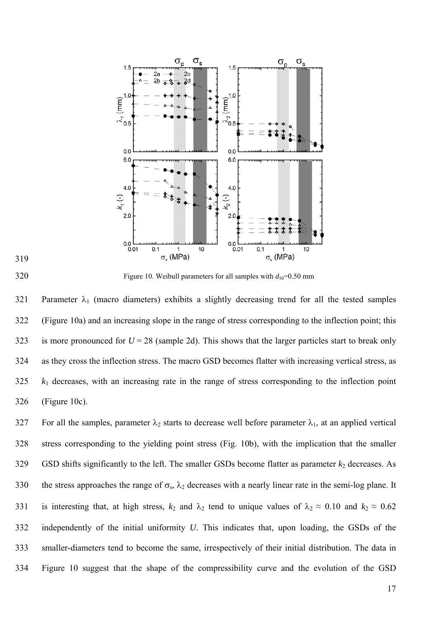





 $320$  Figure 10. Weibull parameters for all samples with  $d_{50}=0.50$  mm

321 Parameter  $\lambda_1$  (macro diameters) exhibits a slightly decreasing trend for all the tested samples 322 (Figure 10a) and an increasing slope in the range of stress corresponding to the inflection point; this 323 is more pronounced for  $U = 28$  (sample 2d). This shows that the larger particles start to break only 324 as they cross the inflection stress. The macro GSD becomes flatter with increasing vertical stress, as 325 *k*1 decreases, with an increasing rate in the range of stress corresponding to the inflection point 326 (Figure 10c).

327 For all the samples, parameter  $\lambda_2$  starts to decrease well before parameter  $\lambda_1$ , at an applied vertical 328 stress corresponding to the yielding point stress (Fig. 10b), with the implication that the smaller  $329$  GSD shifts significantly to the left. The smaller GSDs become flatter as parameter  $k_2$  decreases. As 330 the stress approaches the range of  $\sigma_s$ ,  $\lambda_2$  decreases with a nearly linear rate in the semi-log plane. It 331 is interesting that, at high stress,  $k_2$  and  $\lambda_2$  tend to unique values of  $\lambda_2 \approx 0.10$  and  $k_2 \approx 0.62$ 332 independently of the initial uniformity *U*. This indicates that, upon loading, the GSDs of the 333 smaller-diameters tend to become the same, irrespectively of their initial distribution. The data in 334 Figure 10 suggest that the shape of the compressibility curve and the evolution of the GSD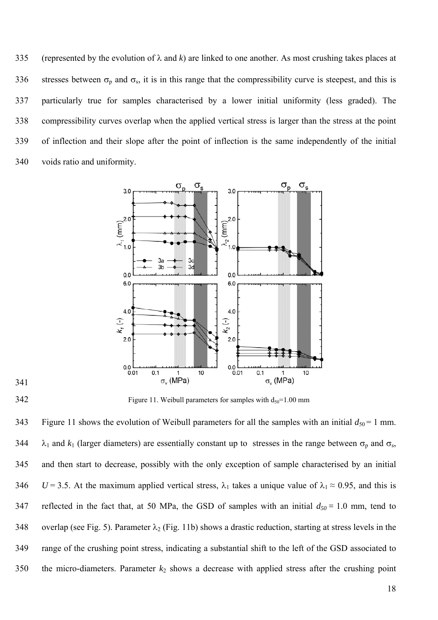335 (represented by the evolution of  $\lambda$  and  $k$ ) are linked to one another. As most crushing takes places at 336 stresses between  $\sigma_p$  and  $\sigma_s$ , it is in this range that the compressibility curve is steepest, and this is 337 particularly true for samples characterised by a lower initial uniformity (less graded). The 338 compressibility curves overlap when the applied vertical stress is larger than the stress at the point 339 of inflection and their slope after the point of inflection is the same independently of the initial 340 voids ratio and uniformity.



341

 $342$  Figure 11. Weibull parameters for samples with  $d_{50}=1.00$  mm

343 Figure 11 shows the evolution of Weibull parameters for all the samples with an initial  $d_{50} = 1$  mm. 344  $\lambda_1$  and  $k_1$  (larger diameters) are essentially constant up to stresses in the range between  $\sigma_p$  and  $\sigma_s$ , 345 and then start to decrease, possibly with the only exception of sample characterised by an initial 346 *U* = 3.5. At the maximum applied vertical stress,  $\lambda_1$  takes a unique value of  $\lambda_1 \approx 0.95$ , and this is 347 reflected in the fact that, at 50 MPa, the GSD of samples with an initial  $d_{50} = 1.0$  mm, tend to 348 overlap (see Fig. 5). Parameter  $\lambda_2$  (Fig. 11b) shows a drastic reduction, starting at stress levels in the 349 range of the crushing point stress, indicating a substantial shift to the left of the GSD associated to 350 the micro-diameters. Parameter  $k_2$  shows a decrease with applied stress after the crushing point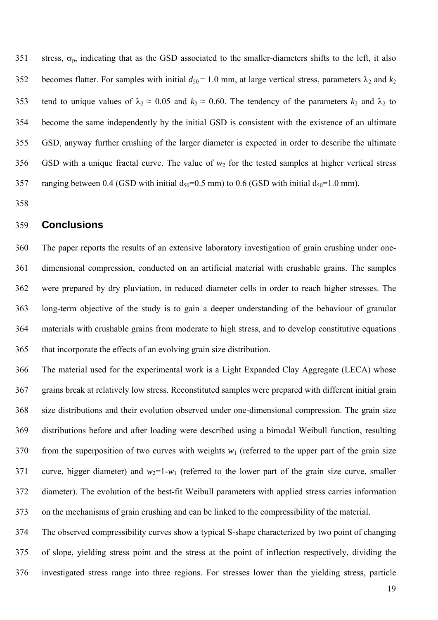351 stress,  $\sigma_p$ , indicating that as the GSD associated to the smaller-diameters shifts to the left, it also 352 becomes flatter. For samples with initial  $d_{50} = 1.0$  mm, at large vertical stress, parameters  $\lambda_2$  and  $k_2$ 353 tend to unique values of  $\lambda_2 \approx 0.05$  and  $k_2 \approx 0.60$ . The tendency of the parameters  $k_2$  and  $\lambda_2$  to 354 become the same independently by the initial GSD is consistent with the existence of an ultimate 355 GSD, anyway further crushing of the larger diameter is expected in order to describe the ultimate 356 GSD with a unique fractal curve. The value of  $w_2$  for the tested samples at higher vertical stress 357 ranging between 0.4 (GSD with initial  $d_{50}=0.5$  mm) to 0.6 (GSD with initial  $d_{50}=1.0$  mm).

358

## 359 **Conclusions**

360 The paper reports the results of an extensive laboratory investigation of grain crushing under one-361 dimensional compression, conducted on an artificial material with crushable grains. The samples 362 were prepared by dry pluviation, in reduced diameter cells in order to reach higher stresses. The 363 long-term objective of the study is to gain a deeper understanding of the behaviour of granular 364 materials with crushable grains from moderate to high stress, and to develop constitutive equations 365 that incorporate the effects of an evolving grain size distribution.

366 The material used for the experimental work is a Light Expanded Clay Aggregate (LECA) whose 367 grains break at relatively low stress. Reconstituted samples were prepared with different initial grain 368 size distributions and their evolution observed under one-dimensional compression. The grain size 369 distributions before and after loading were described using a bimodal Weibull function, resulting 370 from the superposition of two curves with weights  $w_1$  (referred to the upper part of the grain size 371 curve, bigger diameter) and  $w_2=1-w_1$  (referred to the lower part of the grain size curve, smaller 372 diameter). The evolution of the best-fit Weibull parameters with applied stress carries information 373 on the mechanisms of grain crushing and can be linked to the compressibility of the material.

374 The observed compressibility curves show a typical S-shape characterized by two point of changing 375 of slope, yielding stress point and the stress at the point of inflection respectively, dividing the 376 investigated stress range into three regions. For stresses lower than the yielding stress, particle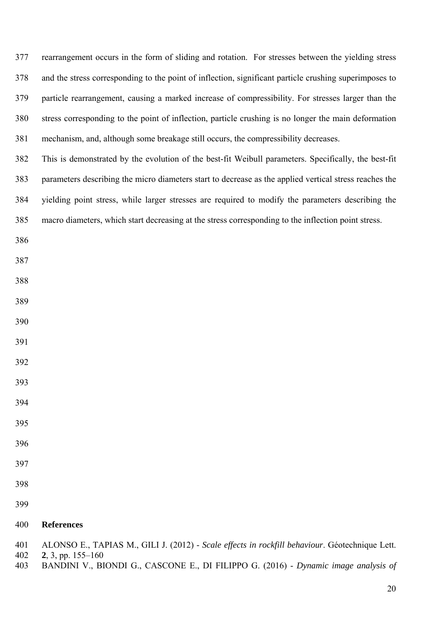377 rearrangement occurs in the form of sliding and rotation. For stresses between the yielding stress 378 and the stress corresponding to the point of inflection, significant particle crushing superimposes to 379 particle rearrangement, causing a marked increase of compressibility. For stresses larger than the 380 stress corresponding to the point of inflection, particle crushing is no longer the main deformation 381 mechanism, and, although some breakage still occurs, the compressibility decreases.

382 This is demonstrated by the evolution of the best-fit Weibull parameters. Specifically, the best-fit 383 parameters describing the micro diameters start to decrease as the applied vertical stress reaches the 384 yielding point stress, while larger stresses are required to modify the parameters describing the 385 macro diameters, which start decreasing at the stress corresponding to the inflection point stress.

- 
- 
- 
- 
- 
- 
- 
- 
- 
- 
- 
- 
- 
- 

#### **References**

- 401 ALONSO E., TAPIAS M., GILI J. (2012) *Scale effects in rockfill behaviour*. Géotechnique Lett.
- **2**, 3, pp. 155–160
- 403 BANDINI V., BIONDI G., CASCONE E., DI FILIPPO G. (2016) *Dynamic image analysis of*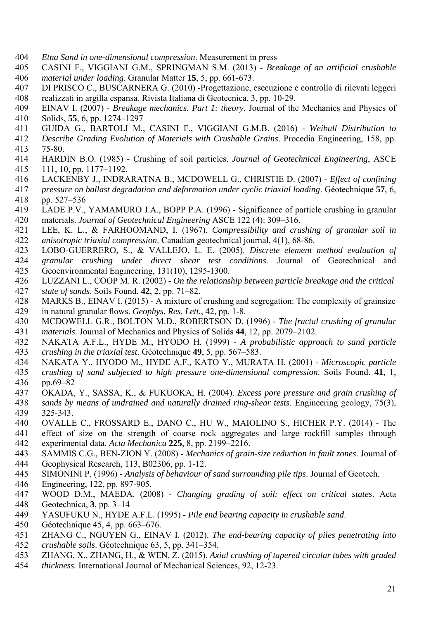- 404 *Etna Sand in one-dimensional compression*. Measurement in press
- 405 CASINI F., VIGGIANI G.M., SPRINGMAN S.M. (2013) *Breakage of an artificial crushable*  406 *material under loading*. Granular Matter **15**, 5, pp. 661-673.
- 407 DI PRISCO C., BUSCARNERA G. (2010) -Progettazione, esecuzione e controllo di rilevati leggeri 408 realizzati in argilla espansa. Rivista Italiana di Geotecnica, 3, pp. 10-29.
- 409 EINAV I. (2007) *Breakage mechanics. Part 1: theory*. Journal of the Mechanics and Physics of 410 Solids, **55**, 6, pp. 1274–1297
- 411 GUIDA G., BARTOLI M., CASINI F., VIGGIANI G.M.B. (2016) *Weibull Distribution to*
- 412 *Describe Grading Evolution of Materials with Crushable Grains*. Procedia Engineering, 158, pp.
- 413 75-80.<br>414 HARD 414 HARDIN B.O. (1985) - Crushing of soil particles. *Journal of Geotechnical Engineering*, ASCE 415 111, 10, pp. 1177–1192.
- 416 LACKENBY J., INDRARATNA B., MCDOWELL G., CHRISTIE D. (2007) *Effect of confining*
- 417 *pressure on ballast degradation and deformation under cyclic triaxial loading*. Géotechnique **57**, 6, 418 pp. 527–536
- 419 LADE P.V., YAMAMURO J.A., BOPP P.A. (1996) Significance of particle crushing in granular 420 materials. *Journal of Geotechnical Engineering* ASCE 122 (4): 309–316.
- 421 LEE, K. L., & FARHOOMAND, I. (1967). *Compressibility and crushing of granular soil in*
- 422 *anisotropic triaxial compression*. Canadian geotechnical journal, 4(1), 68-86.
- 423 LOBO-GUERRERO, S., & VALLEJO, L. E. (2005). *Discrete element method evaluation of*  424 *granular crushing under direct shear test conditions.* Journal of Geotechnical and 425 Geoenvironmental Engineering, 131(10), 1295-1300.
- 426 LUZZANI L., COOP M. R. (2002) *On the relationship between particle breakage and the critical*  427 *state of sands*. Soils Found*.* **42**, 2, pp. 71–82.
- 428 MARKS B., EINAV I. (2015) A mixture of crushing and segregation: The complexity of grainsize 429 in natural granular flows. *Geophys. Res. Lett.*, 42, pp. 1-8.
- 430 MCDOWELL G.R., BOLTON M.D., ROBERTSON D. (1996) *The fractal crushing of granular*
- 431 *materials*. Journal of Mechanics and Physics of Solids **44**, 12, pp. 2079–2102.
- 432 NAKATA A.F.L., HYDE M., HYODO H. (1999) *A probabilistic approach to sand particle*  433 *crushing in the triaxial test*. Géotechnique **49**, 5, pp. 567–583.
- 434 NAKATA Y., HYODO M., HYDE A.F., KATO Y., MURATA H. (2001) *Microscopic particle*
- 435 *crushing of sand subjected to high pressure one-dimensional compression*. Soils Found. **41**, 1, 436 pp.69–82
- 437 OKADA, Y., SASSA, K., & FUKUOKA, H. (2004). *Excess pore pressure and grain crushing of*
- 438 *sands by means of undrained and naturally drained ring-shear tests*. Engineering geology, 75(3), 439 325-343.
- 440 OVALLE C., FROSSARD E., DANO C., HU W., MAIOLINO S., HICHER P.Y. (2014) The 441 effect of size on the strength of coarse rock aggregates and large rockfill samples through 442 experimental data. *Acta Mechanica* **225**, 8, pp. 2199–2216.
- 443 SAMMIS C.G., BEN-ZION Y. (2008) *Mechanics of grain-size reduction in fault zones*. Journal of 444 Geophysical Research, 113, B02306, pp. 1-12.
- 445 SIMONINI P. (1996) *Analysis of behaviour of sand surrounding pile tips*. Journal of Geotech.
- 446 Engineering, 122, pp. 897-905.
- 447 WOOD D.M., MAEDA. (2008) *Changing grading of soil: effect on critical states*. Acta 448 Geotechnica, **3**, pp. 3–14
- 449 YASUFUKU N., HYDE A.F.L. (1995) *Pile end bearing capacity in crushable sand*.
- 450 Géotechnique 45, 4, pp. 663–676.
- 451 ZHANG C., NGUYEN G., EINAV I. (2012). *The end-bearing capacity of piles penetrating into*
- 452 *crushable soils*. Géotechnique 63, 5, pp. 341–354.
- 453 ZHANG, X., ZHANG, H., & WEN, Z. (2015). *Axial crushing of tapered circular tubes with graded*
- 454 *thickness.* International Journal of Mechanical Sciences, 92, 12-23.